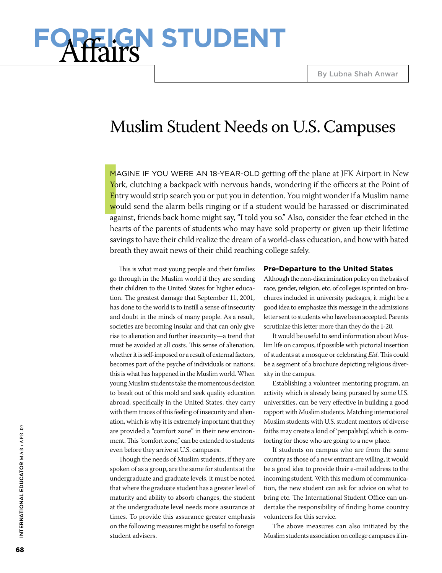# **GN STUDENT**

# Muslim Student Needs on U.S. Campuses

**I** MAGINE IF YOU WERE AN 18-YEAR-OLD getting off the plane at JFK Airport in New York, clutching a backpack with nervous hands, wondering if the officers at the Point of Entry would strip search you or put you in detention. You might wonder if a Muslim name would send the alarm bells ringing or if a student would be harassed or discriminated against, friends back home might say, "I told you so." Also, consider the fear etched in the hearts of the parents of students who may have sold property or given up their lifetime savings to have their child realize the dream of a world-class education, and how with bated breath they await news of their child reaching college safely.

This is what most young people and their families go through in the Muslim world if they are sending their children to the United States for higher education. The greatest damage that September 11, 2001, has done to the world is to instill a sense of insecurity and doubt in the minds of many people. As a result, societies are becoming insular and that can only give rise to alienation and further insecurity—a trend that must be avoided at all costs. This sense of alienation, whether it is self-imposed or a result of external factors, becomes part of the psyche of individuals or nations; this is what has happened in the Muslim world. When young Muslim students take the momentous decision to break out of this mold and seek quality education abroad, specifically in the United States, they carry with them traces of this feeling of insecurity and alienation, which is why it is extremely important that they are provided a "comfort zone" in their new environment. This "comfort zone," can be extended to students even before they arrive at U.S. campuses.

Though the needs of Muslim students, if they are spoken of as a group, are the same for students at the undergraduate and graduate levels, it must be noted that where the graduate student has a greater level of maturity and ability to absorb changes, the student at the undergraduate level needs more assurance at times. To provide this assurance greater emphasis on the following measures might be useful to foreign student advisers.

#### **Pre-Departure to the United States**

Although the non-discrimination policy on the basis of race, gender, religion, etc. of colleges is printed on brochures included in university packages, it might be a good idea to emphasize this message in the admissions letter sent to students who have been accepted. Parents scrutinize this letter more than they do the I-20.

It would be useful to send information about Muslim life on campus, if possible with pictorial insertion of students at a mosque or celebrating *Eid*. This could be a segment of a brochure depicting religious diversity in the campus.

Establishing a volunteer mentoring program, an activity which is already being pursued by some U.S. universities, can be very effective in building a good rapport with Muslim students. Matching international Muslim students with U.S. student mentors of diverse faiths may create a kind of 'penpalship', which is comforting for those who are going to a new place.

If students on campus who are from the same country as those of a new entrant are willing, it would be a good idea to provide their e-mail address to the incoming student. With this medium of communication, the new student can ask for advice on what to bring etc. The International Student Office can undertake the responsibility of finding home country volunteers for this service.

The above measures can also initiated by the Muslim students association on college campuses if in-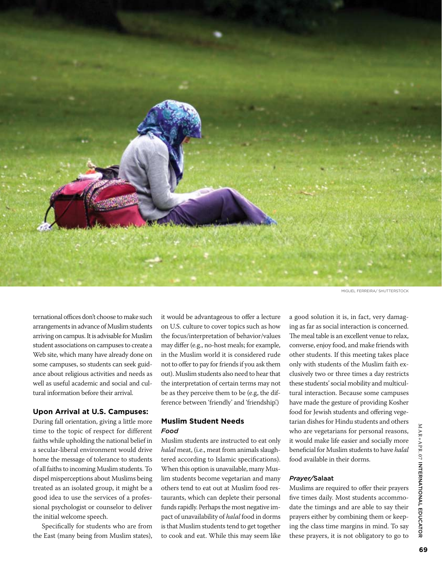

Miguel Ferreira/ shutterstock

ternational offices don't choose to make such arrangements in advance of Muslim students arriving on campus. It is advisable for Muslim student associations on campuses to create a Web site, which many have already done on some campuses, so students can seek guidance about religious activities and needs as well as useful academic and social and cultural information before their arrival.

### **Upon Arrival at U.S. Campuses:**

During fall orientation, giving a little more time to the topic of respect for different faiths while upholding the national belief in a secular-liberal environment would drive home the message of tolerance to students of all faiths to incoming Muslim students. To dispel misperceptions about Muslims being treated as an isolated group, it might be a good idea to use the services of a professional psychologist or counselor to deliver the initial welcome speech.

Specifically for students who are from the East (many being from Muslim states),

it would be advantageous to offer a lecture on U.S. culture to cover topics such as how the focus/interpretation of behavior/values may differ (e.g., no-host meals; for example, in the Muslim world it is considered rude not to offer to pay for friends if you ask them out). Muslim students also need to hear that the interpretation of certain terms may not be as they perceive them to be (e.g, the difference between 'friendly' and 'friendship'.)

### **Muslim Student Needs** *Food*

Muslim students are instructed to eat only *halal* meat, (i.e., meat from animals slaughtered according to Islamic specifications). When this option is unavailable, many Muslim students become vegetarian and many others tend to eat out at Muslim food restaurants, which can deplete their personal funds rapidly. Perhaps the most negative impact of unavailability of *halal* food in dorms is that Muslim students tend to get together to cook and eat. While this may seem like

a good solution it is, in fact, very damaging as far as social interaction is concerned. The meal table is an excellent venue to relax, converse, enjoy food, and make friends with other students. If this meeting takes place only with students of the Muslim faith exclusively two or three times a day restricts these students' social mobility and multicultural interaction. Because some campuses have made the gesture of providing Kosher food for Jewish students and offering vegetarian dishes for Hindu students and others who are vegetarians for personal reasons, it would make life easier and socially more beneficial for Muslim students to have *halal* food available in their dorms.

#### *Prayer/*Salaat

Muslims are required to offer their prayers five times daily. Most students accommodate the timings and are able to say their prayers either by combining them or keeping the class time margins in mind. To say these prayers, it is not obligatory to go to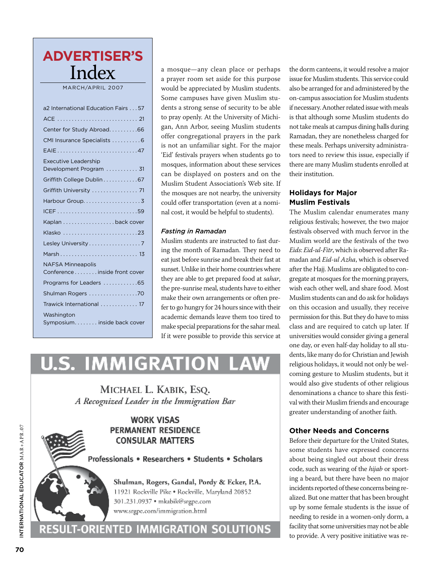# **73( ! ! !  " Advertiser's**  $\mathbf{H} \cdot \mathbf{A} \cdot \mathbf{A} \cdot \mathbf{A}$  **<b>** $\mathbf{W} \cdot \mathbf{A}$   $\mathbf{W} \cdot \mathbf{A}$   $\mathbf{W} \cdot \mathbf{A}$   $\mathbf{W} \cdot \mathbf{A}$   $\mathbf{W} \cdot \mathbf{A}$   $\mathbf{W} \cdot \mathbf{A}$   $\mathbf{W} \cdot \mathbf{A}$   $\mathbf{W} \cdot \mathbf{A}$   $\mathbf{W} \cdot \mathbf{A}$  **\mathbf{W} \cdot \mathbf{A}** <u>| Index</u>

MARCH/APRIL 2007

|                                     | Some campuses have                                  |
|-------------------------------------|-----------------------------------------------------|
| a2 International Education Fairs 57 | dents a strong sense of                             |
|                                     | to pray openly. At the U                            |
| Center for Study Abroad66           | gan, Ann Arbor, seein                               |
| CMI Insurance Specialists  6        | offer congregational p                              |
| EAIE47                              | is not an unfamiliar si                             |
| <b>Executive Leadership</b>         | 'Eid' festivals prayers w                           |
| Development Program  31             | mosques, information a                              |
| Griffith College Dublin 67          | can be displayed on p<br>Muslim Student Assoc       |
| Griffith University  71             | the mosques are not ne                              |
|                                     | could offer transportati                            |
|                                     | nal cost, it would be hel                           |
| Kaplan back cover                   |                                                     |
| Klasko 23                           | <b>Fasting in Ramadan</b>                           |
| Lesley University 7                 | Muslim students are ins                             |
| Marsh 13                            | ing the month of Rama                               |
| <b>NAFSA Minneapolis</b>            | eat just before sunrise ar                          |
| Conference inside front cover       | sunset. Unlike in their ho                          |
| Programs for Leaders 65             | they are able to get prep                           |
| Shulman Rogers 70                   | the pre-sunrise meal, stu<br>make their own arrange |
| Trawick International  17           | fer to go hungry for 24 h                           |
| Washington                          | academic demands leay                               |
| Symposium. inside back cover        | make special preparation                            |
|                                     |                                                     |

a mosque—any clean place or perhaps a prayer room set aside for this purpose MARCH/APRIL 2007 **3000** would be appreciated by Muslim students. Some campuses have given Muslim stua 2 International Education Fairs  $\dots$  57  $\parallel$  dents a strong sense of security to be able to pray openly. At the University of Michi-'61 )1 9&' " 62 ''62 ' ; ) +1) )') ;)1\$5 gan, Ann Arbor, seeing Muslim students 6) ' 6 +)%"6"% +1"2)'12 ' 29++)16 6 "1&"%"2. +1! offer congregational prayers in the park +1 1+)162 )' 9&' 1" 62 26692 "' 1' :1= ; &)'6 2. "'26 ) "' %221))&. is not an unfamiliar sight. For the major  $\begin{bmatrix} \begin{array}{c} \begin{array}{c} \text{EAL}: \end{array} \\ \text{I} \end{bmatrix} \end{bmatrix}$  "Eid" festivals prayers when students go to tors r  $\frac{1}{2}$  = Executive Ecuter strip<br>  $\frac{1}{2}$  = mosques, information about these services can be displayed on posters and on the their institution Muslim Student Association's Web site. If )= ; "% 0& 6%\$"' 6) =)9 ; : ++1)<"&6%= )91 &"%! **30/27(** 126 26+ 6 6 ' 6\$' "' 6 :'&'6 )5 the mosques are not nearby, the university %")' 612 ) %' 6 6 )'6"' %' &"'2. ')169'6%= 1' "2 ;)&' ' "%1'02 1" 62 "2 96")'. **Example of Secoup** 20 Second offer transportation (even at a nomi-**Nuslim Festivals** nal cost, it would be helpful to students). 6 "6 1 "'#91 )1 " ;%\$"' )' 6 &"'2. 6 ;01 )"'

### $\overline{a}$  2  $\overline{a}$  3  $\overline{b}$

Muslim students are instructed to fast during the month of Ramadan. They need to **1456 A hierappolis 150 hierappolis** *n n s* **<b>***n n s* **<b>***n s n s n n s n s n s n n s n n s n n s n n n n* sunset. Unlike in their home countries where  **%" !! !**  they are able to get prepared food at *sahar*, { the pre-sunrise meal, students have to either  $\frac{30}{10}$  the pre-sunrise meal, students have to either make their own arrangements or often prefer to go hungry for 24 hours since with their academic demands leave them too tired to 6) +1"2)'. ) ; : 6) %+ 6 &. %+"' 6 & )1 29++)16! **" !  \$** make special preparations for the sahar meal. If it were possible to provide this service at  $\blacksquare$ 

# **U.S. IMMIGRATION LAW**

MICHAEL L. KABIK, ESO. A Recognized Leader in the Immigration Bar



the dorm canteens, it would resolve a major for this purpose issue for Muslim students. This service could by Muslim students. also be arranged for and administered by the e given Muslim stu- — on-campus association for Muslim students  $\,$ of security to be able if necessary. Another related issue with meals  $\,$ University of Michi- is that although some Muslim students do ng Muslim students — not take meals at campus dining halls during  $\,$ Ramadan, they are nonetheless charged for these meals. Perhaps university administrators need to review this issue, especially if **"! \$! %" ! "** about these services there are many Muslim students enrolled at their institution. 

# **Holidays for Major Muslim Festivals**

elpful to students). The Muslim calendar enumerates many religious festivals; however, the two major festivals observed with much fervor in the Muslim world are the festivals of the two *Eids*: *Eid-ul-Fitr*, which is observed after Ra-**73( %" ! \$! %" #! ! ! !** and break their fast at madan and *Eid-ul Azha*, which is observed nome countries where  $\quad$  after the Hajj. Muslims are obligated to congregate at mosques for the morning prayers, wish each other well, and share food. Most  $\boldsymbol{\mathrm{M}}$  was limigrative can and do ask for holidays on this occasion and usually, they receive  **- %" !** permission for this. But they do have to miss  class and are required to catch up later. If rovide this service at universities would consider giving a general one day, or even half-day holiday to all students, like many do for Christian and Jewish religious holidays, it would not only be welcoming gesture to Muslim students, but it would also give students of other religious denominations a chance to share this festival with their Muslim friends and encourage greater understanding of another faith.

# **Other Needs and Concerns**

Before their departure for the United States, some students have expressed concerns about being singled out about their dress code, such as wearing of the *hijab* or sporting a beard, but there have been no major incidents reported of these concerns being realized. But one matter that has been brought up by some female students is the issue of needing to reside in a women-only dorm, a facility that some universities may not be able to provide. A very positive initiative was re-